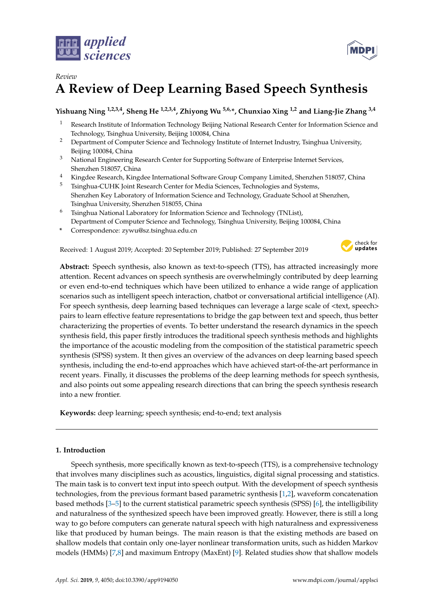



# *Review* **A Review of Deep Learning Based Speech Synthesis**

# **Yishuang Ning 1,2,3,4, Sheng He 1,2,3,4, Zhiyong Wu 5,6,\*, Chunxiao Xing 1,2 and Liang-Jie Zhang 3,4**

- <sup>1</sup> Research Institute of Information Technology Beijing National Research Center for Information Science and Technology, Tsinghua University, Beijing 100084, China
- <sup>2</sup> Department of Computer Science and Technology Institute of Internet Industry, Tsinghua University, Beijing 100084, China
- <sup>3</sup> National Engineering Research Center for Supporting Software of Enterprise Internet Services, Shenzhen 518057, China
- <sup>4</sup> Kingdee Research, Kingdee International Software Group Company Limited, Shenzhen 518057, China
- <sup>5</sup> Tsinghua-CUHK Joint Research Center for Media Sciences, Technologies and Systems, Shenzhen Key Laboratory of Information Science and Technology, Graduate School at Shenzhen, Tsinghua University, Shenzhen 518055, China
- $6$  Tsinghua National Laboratory for Information Science and Technology (TNList), Department of Computer Science and Technology, Tsinghua University, Beijing 100084, China
- **\*** Correspondence: zywu@sz.tsinghua.edu.cn

Received: 1 August 2019; Accepted: 20 September 2019; Published: 27 September 2019



**Abstract:** Speech synthesis, also known as text-to-speech (TTS), has attracted increasingly more attention. Recent advances on speech synthesis are overwhelmingly contributed by deep learning or even end-to-end techniques which have been utilized to enhance a wide range of application scenarios such as intelligent speech interaction, chatbot or conversational artificial intelligence (AI). For speech synthesis, deep learning based techniques can leverage a large scale of  $\langle \text{text}, \text{speed}\rangle$ pairs to learn effective feature representations to bridge the gap between text and speech, thus better characterizing the properties of events. To better understand the research dynamics in the speech synthesis field, this paper firstly introduces the traditional speech synthesis methods and highlights the importance of the acoustic modeling from the composition of the statistical parametric speech synthesis (SPSS) system. It then gives an overview of the advances on deep learning based speech synthesis, including the end-to-end approaches which have achieved start-of-the-art performance in recent years. Finally, it discusses the problems of the deep learning methods for speech synthesis, and also points out some appealing research directions that can bring the speech synthesis research into a new frontier.

**Keywords:** deep learning; speech synthesis; end-to-end; text analysis

# **1. Introduction**

Speech synthesis, more specifically known as text-to-speech (TTS), is a comprehensive technology that involves many disciplines such as acoustics, linguistics, digital signal processing and statistics. The main task is to convert text input into speech output. With the development of speech synthesis technologies, from the previous formant based parametric synthesis [\[1](#page-11-0)[,2\]](#page-11-1), waveform concatenation based methods [\[3](#page-11-2)[–5\]](#page-11-3) to the current statistical parametric speech synthesis (SPSS) [\[6\]](#page-11-4), the intelligibility and naturalness of the synthesized speech have been improved greatly. However, there is still a long way to go before computers can generate natural speech with high naturalness and expressiveness like that produced by human beings. The main reason is that the existing methods are based on shallow models that contain only one-layer nonlinear transformation units, such as hidden Markov models (HMMs) [\[7](#page-11-5)[,8\]](#page-11-6) and maximum Entropy (MaxEnt) [\[9\]](#page-12-0). Related studies show that shallow models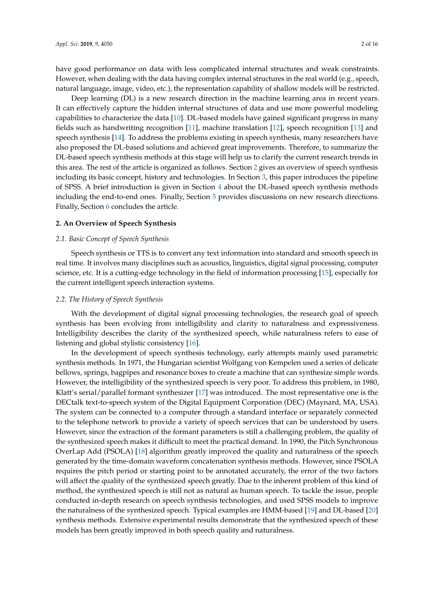have good performance on data with less complicated internal structures and weak constraints. However, when dealing with the data having complex internal structures in the real world (e.g., speech, natural language, image, video, etc.), the representation capability of shallow models will be restricted.

Deep learning (DL) is a new research direction in the machine learning area in recent years. It can effectively capture the hidden internal structures of data and use more powerful modeling capabilities to characterize the data [\[10\]](#page-12-1). DL-based models have gained significant progress in many fields such as handwriting recognition [\[11\]](#page-12-2), machine translation [\[12\]](#page-12-3), speech recognition [\[13\]](#page-12-4) and speech synthesis [\[14\]](#page-12-5). To address the problems existing in speech synthesis, many researchers have also proposed the DL-based solutions and achieved great improvements. Therefore, to summarize the DL-based speech synthesis methods at this stage will help us to clarify the current research trends in this area. The rest of the article is organized as follows. Section [2](#page-1-0) gives an overview of speech synthesis including its basic concept, history and technologies. In Section [3,](#page-2-0) this paper introduces the pipeline of SPSS. A brief introduction is given in Section [4](#page-4-0) about the DL-based speech synthesis methods including the end-to-end ones. Finally, Section [5](#page-10-0) provides discussions on new research directions. Finally, Section [6](#page-10-1) concludes the article.

#### <span id="page-1-0"></span>**2. An Overview of Speech Synthesis**

# *2.1. Basic Concept of Speech Synthesis*

Speech synthesis or TTS is to convert any text information into standard and smooth speech in real time. It involves many disciplines such as acoustics, linguistics, digital signal processing, computer science, etc. It is a cutting-edge technology in the field of information processing [\[15\]](#page-12-6), especially for the current intelligent speech interaction systems.

## <span id="page-1-1"></span>*2.2. The History of Speech Synthesis*

With the development of digital signal processing technologies, the research goal of speech synthesis has been evolving from intelligibility and clarity to naturalness and expressiveness. Intelligibility describes the clarity of the synthesized speech, while naturalness refers to ease of listening and global stylistic consistency [\[16\]](#page-12-7).

In the development of speech synthesis technology, early attempts mainly used parametric synthesis methods. In 1971, the Hungarian scientist Wolfgang von Kempelen used a series of delicate bellows, springs, bagpipes and resonance boxes to create a machine that can synthesize simple words. However, the intelligibility of the synthesized speech is very poor. To address this problem, in 1980, Klatt's serial/parallel formant synthesizer [\[17\]](#page-12-8) was introduced. The most representative one is the DECtalk text-to-speech system of the Digital Equipment Corporation (DEC) (Maynard, MA, USA). The system can be connected to a computer through a standard interface or separately connected to the telephone network to provide a variety of speech services that can be understood by users. However, since the extraction of the formant parameters is still a challenging problem, the quality of the synthesized speech makes it difficult to meet the practical demand. In 1990, the Pitch Synchronous OverLap Add (PSOLA) [\[18\]](#page-12-9) algorithm greatly improved the quality and naturalness of the speech generated by the time-domain waveform concatenation synthesis methods. However, since PSOLA requires the pitch period or starting point to be annotated accurately, the error of the two factors will affect the quality of the synthesized speech greatly. Due to the inherent problem of this kind of method, the synthesized speech is still not as natural as human speech. To tackle the issue, people conducted in-depth research on speech synthesis technologies, and used SPSS models to improve the naturalness of the synthesized speech. Typical examples are HMM-based [\[19\]](#page-12-10) and DL-based [\[20\]](#page-12-11) synthesis methods. Extensive experimental results demonstrate that the synthesized speech of these models has been greatly improved in both speech quality and naturalness.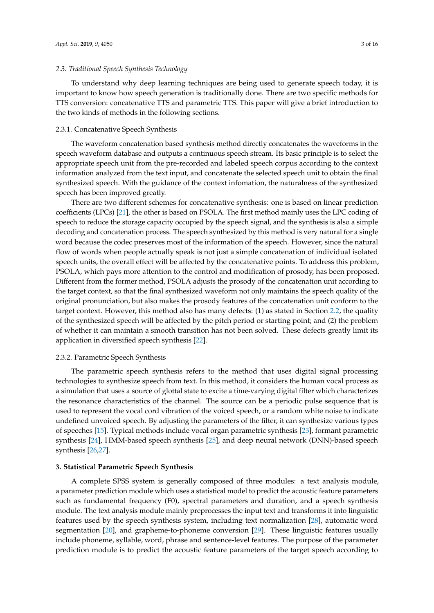# *2.3. Traditional Speech Synthesis Technology*

To understand why deep learning techniques are being used to generate speech today, it is important to know how speech generation is traditionally done. There are two specific methods for TTS conversion: concatenative TTS and parametric TTS. This paper will give a brief introduction to the two kinds of methods in the following sections.

#### 2.3.1. Concatenative Speech Synthesis

The waveform concatenation based synthesis method directly concatenates the waveforms in the speech waveform database and outputs a continuous speech stream. Its basic principle is to select the appropriate speech unit from the pre-recorded and labeled speech corpus according to the context information analyzed from the text input, and concatenate the selected speech unit to obtain the final synthesized speech. With the guidance of the context infomation, the naturalness of the synthesized speech has been improved greatly.

There are two different schemes for concatenative synthesis: one is based on linear prediction coefficients (LPCs) [\[21\]](#page-12-12), the other is based on PSOLA. The first method mainly uses the LPC coding of speech to reduce the storage capacity occupied by the speech signal, and the synthesis is also a simple decoding and concatenation process. The speech synthesized by this method is very natural for a single word because the codec preserves most of the information of the speech. However, since the natural flow of words when people actually speak is not just a simple concatenation of individual isolated speech units, the overall effect will be affected by the concatenative points. To address this problem, PSOLA, which pays more attention to the control and modification of prosody, has been proposed. Different from the former method, PSOLA adjusts the prosody of the concatenation unit according to the target context, so that the final synthesized waveform not only maintains the speech quality of the original pronunciation, but also makes the prosody features of the concatenation unit conform to the target context. However, this method also has many defects: (1) as stated in Section [2.2,](#page-1-1) the quality of the synthesized speech will be affected by the pitch period or starting point; and (2) the problem of whether it can maintain a smooth transition has not been solved. These defects greatly limit its application in diversified speech synthesis [\[22\]](#page-12-13).

# 2.3.2. Parametric Speech Synthesis

The parametric speech synthesis refers to the method that uses digital signal processing technologies to synthesize speech from text. In this method, it considers the human vocal process as a simulation that uses a source of glottal state to excite a time-varying digital filter which characterizes the resonance characteristics of the channel. The source can be a periodic pulse sequence that is used to represent the vocal cord vibration of the voiced speech, or a random white noise to indicate undefined unvoiced speech. By adjusting the parameters of the filter, it can synthesize various types of speeches [\[15\]](#page-12-6). Typical methods include vocal organ parametric synthesis [\[23\]](#page-12-14), formant parametric synthesis [\[24\]](#page-12-15), HMM-based speech synthesis [\[25\]](#page-12-16), and deep neural network (DNN)-based speech synthesis [\[26,](#page-12-17)[27\]](#page-12-18).

## <span id="page-2-0"></span>**3. Statistical Parametric Speech Synthesis**

A complete SPSS system is generally composed of three modules: a text analysis module, a parameter prediction module which uses a statistical model to predict the acoustic feature parameters such as fundamental frequency (F0), spectral parameters and duration, and a speech synthesis module. The text analysis module mainly preprocesses the input text and transforms it into linguistic features used by the speech synthesis system, including text normalization [\[28\]](#page-12-19), automatic word segmentation [\[20\]](#page-12-11), and grapheme-to-phoneme conversion [\[29\]](#page-12-20). These linguistic features usually include phoneme, syllable, word, phrase and sentence-level features. The purpose of the parameter prediction module is to predict the acoustic feature parameters of the target speech according to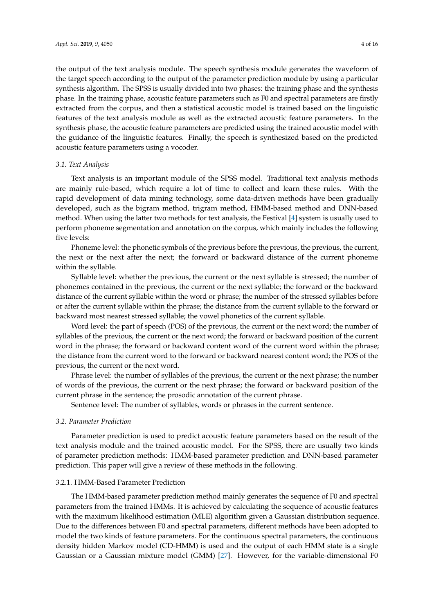the output of the text analysis module. The speech synthesis module generates the waveform of the target speech according to the output of the parameter prediction module by using a particular synthesis algorithm. The SPSS is usually divided into two phases: the training phase and the synthesis phase. In the training phase, acoustic feature parameters such as F0 and spectral parameters are firstly extracted from the corpus, and then a statistical acoustic model is trained based on the linguistic features of the text analysis module as well as the extracted acoustic feature parameters. In the synthesis phase, the acoustic feature parameters are predicted using the trained acoustic model with the guidance of the linguistic features. Finally, the speech is synthesized based on the predicted acoustic feature parameters using a vocoder.

# *3.1. Text Analysis*

Text analysis is an important module of the SPSS model. Traditional text analysis methods are mainly rule-based, which require a lot of time to collect and learn these rules. With the rapid development of data mining technology, some data-driven methods have been gradually developed, such as the bigram method, trigram method, HMM-based method and DNN-based method. When using the latter two methods for text analysis, the Festival [\[4\]](#page-11-7) system is usually used to perform phoneme segmentation and annotation on the corpus, which mainly includes the following five levels:

Phoneme level: the phonetic symbols of the previous before the previous, the previous, the current, the next or the next after the next; the forward or backward distance of the current phoneme within the syllable.

Syllable level: whether the previous, the current or the next syllable is stressed; the number of phonemes contained in the previous, the current or the next syllable; the forward or the backward distance of the current syllable within the word or phrase; the number of the stressed syllables before or after the current syllable within the phrase; the distance from the current syllable to the forward or backward most nearest stressed syllable; the vowel phonetics of the current syllable.

Word level: the part of speech (POS) of the previous, the current or the next word; the number of syllables of the previous, the current or the next word; the forward or backward position of the current word in the phrase; the forward or backward content word of the current word within the phrase; the distance from the current word to the forward or backward nearest content word; the POS of the previous, the current or the next word.

Phrase level: the number of syllables of the previous, the current or the next phrase; the number of words of the previous, the current or the next phrase; the forward or backward position of the current phrase in the sentence; the prosodic annotation of the current phrase.

Sentence level: The number of syllables, words or phrases in the current sentence.

# *3.2. Parameter Prediction*

Parameter prediction is used to predict acoustic feature parameters based on the result of the text analysis module and the trained acoustic model. For the SPSS, there are usually two kinds of parameter prediction methods: HMM-based parameter prediction and DNN-based parameter prediction. This paper will give a review of these methods in the following.

# 3.2.1. HMM-Based Parameter Prediction

The HMM-based parameter prediction method mainly generates the sequence of F0 and spectral parameters from the trained HMMs. It is achieved by calculating the sequence of acoustic features with the maximum likelihood estimation (MLE) algorithm given a Gaussian distribution sequence. Due to the differences between F0 and spectral parameters, different methods have been adopted to model the two kinds of feature parameters. For the continuous spectral parameters, the continuous density hidden Markov model (CD-HMM) is used and the output of each HMM state is a single Gaussian or a Gaussian mixture model (GMM) [\[27\]](#page-12-18). However, for the variable-dimensional F0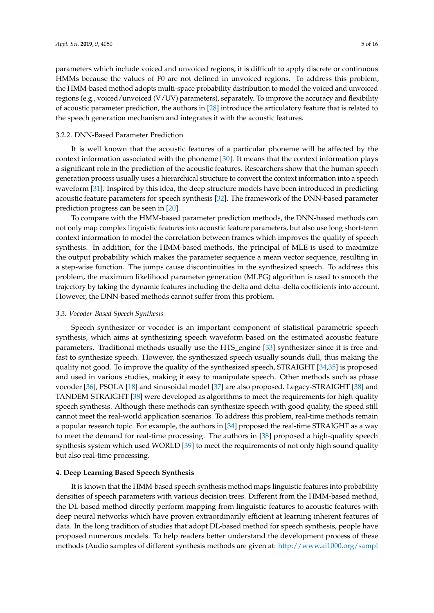parameters which include voiced and unvoiced regions, it is difficult to apply discrete or continuous HMMs because the values of F0 are not defined in unvoiced regions. To address this problem, the HMM-based method adopts multi-space probability distribution to model the voiced and unvoiced regions (e.g., voiced/unvoiced (V/UV) parameters), separately. To improve the accuracy and flexibility of acoustic parameter prediction, the authors in [\[28\]](#page-12-19) introduce the articulatory feature that is related to the speech generation mechanism and integrates it with the acoustic features.

## 3.2.2. DNN-Based Parameter Prediction

It is well known that the acoustic features of a particular phoneme will be affected by the context information associated with the phoneme [\[30\]](#page-12-21). It means that the context information plays a significant role in the prediction of the acoustic features. Researchers show that the human speech generation process usually uses a hierarchical structure to convert the context information into a speech waveform [\[31\]](#page-12-22). Inspired by this idea, the deep structure models have been introduced in predicting acoustic feature parameters for speech synthesis [\[32\]](#page-13-0). The framework of the DNN-based parameter prediction progress can be seen in [\[20\]](#page-12-11).

To compare with the HMM-based parameter prediction methods, the DNN-based methods can not only map complex linguistic features into acoustic feature parameters, but also use long short-term context information to model the correlation between frames which improves the quality of speech synthesis. In addition, for the HMM-based methods, the principal of MLE is used to maximize the output probability which makes the parameter sequence a mean vector sequence, resulting in a step-wise function. The jumps cause discontinuities in the synthesized speech. To address this problem, the maximum likelihood parameter generation (MLPG) algorithm is used to smooth the trajectory by taking the dynamic features including the delta and delta–delta coefficients into account. However, the DNN-based methods cannot suffer from this problem.

# *3.3. Vocoder-Based Speech Synthesis*

Speech synthesizer or vocoder is an important component of statistical parametric speech synthesis, which aims at synthesizing speech waveform based on the estimated acoustic feature parameters. Traditional methods usually use the HTS\_engine [\[33\]](#page-13-1) synthesizer since it is free and fast to synthesize speech. However, the synthesized speech usually sounds dull, thus making the quality not good. To improve the quality of the synthesized speech, STRAIGHT [\[34,](#page-13-2)[35\]](#page-13-3) is proposed and used in various studies, making it easy to manipulate speech. Other methods such as phase vocoder [\[36\]](#page-13-4), PSOLA [\[18\]](#page-12-9) and sinusoidal model [\[37\]](#page-13-5) are also proposed. Legacy-STRAIGHT [\[38\]](#page-13-6) and TANDEM-STRAIGHT [\[38\]](#page-13-6) were developed as algorithms to meet the requirements for high-quality speech synthesis. Although these methods can synthesize speech with good quality, the speed still cannot meet the real-world application scenarios. To address this problem, real-time methods remain a popular research topic. For example, the authors in [\[34\]](#page-13-2) proposed the real-time STRAIGHT as a way to meet the demand for real-time processing. The authors in [\[38\]](#page-13-6) proposed a high-quality speech synthesis system which used WORLD [\[39\]](#page-13-7) to meet the requirements of not only high sound quality but also real-time processing.

# <span id="page-4-0"></span>**4. Deep Learning Based Speech Synthesis**

It is known that the HMM-based speech synthesis method maps linguistic features into probability densities of speech parameters with various decision trees. Different from the HMM-based method, the DL-based method directly perform mapping from linguistic features to acoustic features with deep neural networks which have proven extraordinarily efficient at learning inherent features of data. In the long tradition of studies that adopt DL-based method for speech synthesis, people have proposed numerous models. To help readers better understand the development process of these methods (Audio samples of different synthesis methods are given at: [http://www.ai1000.org/sampl](http://www.ai1000.org/samples/index.html)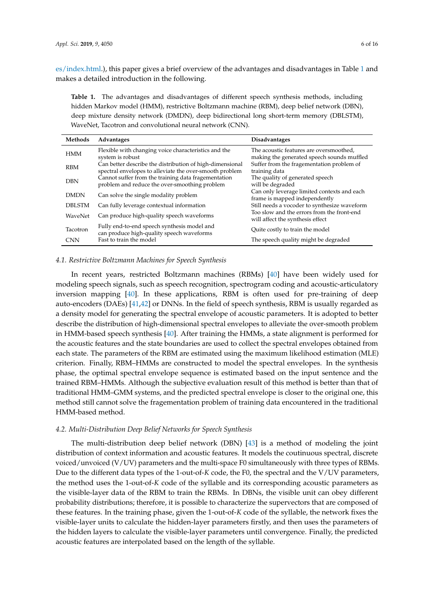[es/index.html.](http://www.ai1000.org/samples/index.html)), this paper gives a brief overview of the advantages and disadvantages in Table [1](#page-5-0) and makes a detailed introduction in the following.

<span id="page-5-0"></span>**Table 1.** The advantages and disadvantages of different speech synthesis methods, including hidden Markov model (HMM), restrictive Boltzmann machine (RBM), deep belief network (DBN), deep mixture density network (DMDN), deep bidirectional long short-term memory (DBLSTM), WaveNet, Tacotron and convolutional neural network (CNN).

| Methods         | Advantages                                                                                                          | <b>Disadvantages</b>                                                                  |
|-----------------|---------------------------------------------------------------------------------------------------------------------|---------------------------------------------------------------------------------------|
| <b>HMM</b>      | Flexible with changing voice characteristics and the<br>system is robust                                            | The acoustic features are oversmoothed,<br>making the generated speech sounds muffled |
| <b>RBM</b>      | Can better describe the distribution of high-dimensional<br>spectral envelopes to alleviate the over-smooth problem | Suffer from the fragementation problem of<br>training data                            |
| <b>DBN</b>      | Cannot suffer from the training data fragementation<br>problem and reduce the over-smoothing problem                | The quality of generated speech<br>will be degraded                                   |
| <b>DMDN</b>     | Can solve the single modality problem                                                                               | Can only leverage limited contexts and each<br>frame is mapped independently          |
| <b>DBI STM</b>  | Can fully leverage contextual information                                                                           | Still needs a vocoder to synthesize waveform                                          |
| WaveNet         | Can produce high-quality speech waveforms                                                                           | Too slow and the errors from the front-end<br>will affect the synthesis effect        |
| <b>Tacotron</b> | Fully end-to-end speech synthesis model and<br>can produce high-quality speech waveforms                            | Quite costly to train the model                                                       |
| <b>CNN</b>      | Fast to train the model                                                                                             | The speech quality might be degraded                                                  |

# *4.1. Restrictive Boltzmann Machines for Speech Synthesis*

In recent years, restricted Boltzmann machines (RBMs) [\[40\]](#page-13-8) have been widely used for modeling speech signals, such as speech recognition, spectrogram coding and acoustic-articulatory inversion mapping [\[40\]](#page-13-8). In these applications, RBM is often used for pre-training of deep auto-encoders (DAEs) [\[41](#page-13-9)[,42\]](#page-13-10) or DNNs. In the field of speech synthesis, RBM is usually regarded as a density model for generating the spectral envelope of acoustic parameters. It is adopted to better describe the distribution of high-dimensional spectral envelopes to alleviate the over-smooth problem in HMM-based speech synthesis [\[40\]](#page-13-8). After training the HMMs, a state alignment is performed for the acoustic features and the state boundaries are used to collect the spectral envelopes obtained from each state. The parameters of the RBM are estimated using the maximum likelihood estimation (MLE) criterion. Finally, RBM–HMMs are constructed to model the spectral envelopes. In the synthesis phase, the optimal spectral envelope sequence is estimated based on the input sentence and the trained RBM–HMMs. Although the subjective evaluation result of this method is better than that of traditional HMM–GMM systems, and the predicted spectral envelope is closer to the original one, this method still cannot solve the fragementation problem of training data encountered in the traditional HMM-based method.

## *4.2. Multi-Distribution Deep Belief Networks for Speech Synthesis*

The multi-distribution deep belief network (DBN) [\[43\]](#page-13-11) is a method of modeling the joint distribution of context information and acoustic features. It models the coutinuous spectral, discrete voiced/unvoiced (V/UV) parameters and the multi-space F0 simultaneously with three types of RBMs. Due to the different data types of the 1-out-of-*K* code, the F0, the spectral and the V/UV parameters, the method uses the 1-out-of-*K* code of the syllable and its corresponding acoustic parameters as the visible-layer data of the RBM to train the RBMs. In DBNs, the visible unit can obey different probability distributions; therefore, it is possible to characterize the supervectors that are composed of these features. In the training phase, given the 1-out-of-*K* code of the syllable, the network fixes the visible-layer units to calculate the hidden-layer parameters firstly, and then uses the parameters of the hidden layers to calculate the visible-layer parameters until convergence. Finally, the predicted acoustic features are interpolated based on the length of the syllable.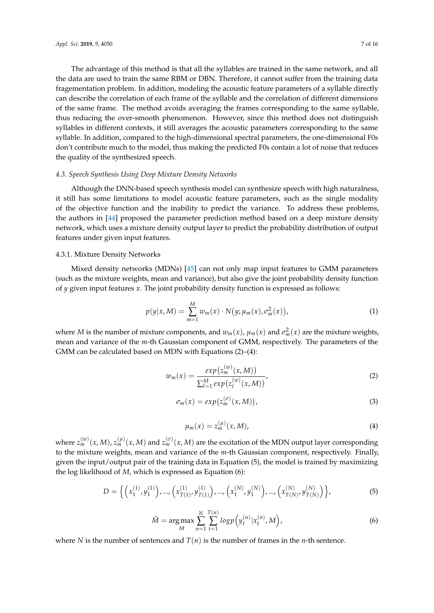The advantage of this method is that all the syllables are trained in the same network, and all the data are used to train the same RBM or DBN. Therefore, it cannot suffer from the training data fragementation problem. In addition, modeling the acoustic feature parameters of a syllable directly can describe the correlation of each frame of the syllable and the correlation of different dimensions of the same frame. The method avoids averaging the frames corresponding to the same syllable, thus reducing the over-smooth phenomenon. However, since this method does not distinguish syllables in different contexts, it still averages the acoustic parameters corresponding to the same syllable. In addition, compared to the high-dimensional spectral parameters, the one-dimensional F0s don't contribute much to the model, thus making the predicted F0s contain a lot of noise that reduces the quality of the synthesized speech.

# *4.3. Speech Synthesis Using Deep Mixture Density Networks*

Although the DNN-based speech synthesis model can synthesize speech with high naturalness, it still has some limitations to model acoustic feature parameters, such as the single modality of the objective function and the inability to predict the variance. To address these problems, the authors in [\[44\]](#page-13-12) proposed the parameter prediction method based on a deep mixture density network, which uses a mixture density output layer to predict the probability distribution of output features under given input features.

## 4.3.1. Mixture Density Networks

Mixed density networks (MDNs) [\[45\]](#page-13-13) can not only map input features to GMM parameters (such as the mixture weights, mean and variance), but also give the joint probability density function of *y* given input features *x*. The joint probability density function is expressed as follows:

$$
p(y|x, M) = \sum_{m=1}^{M} w_m(x) \cdot N(y; \mu_m(x), \sigma_m^2(x)),
$$
 (1)

where *M* is the number of mixture components, and  $w_m(x)$ ,  $\mu_m(x)$  and  $\sigma_m^2(x)$  are the mixture weights, mean and variance of the *m*-th Gaussian component of GMM, respectively. The parameters of the GMM can be calculated based on MDN with Equations (2)–(4):

$$
w_m(x) = \frac{exp(z_m^{(w)}(x, M))}{\sum_{l=1}^M exp(z_l^{(w)}(x, M))},
$$
\n(2)

$$
\sigma_m(x) = exp(z_m^{(\sigma)}(x, M)), \qquad (3)
$$

$$
\mu_m(x) = z_m^{(\mu)}(x, M), \tag{4}
$$

where  $z_m^{(w)}(x,M)$ ,  $z_m^{(\mu)}(x,M)$  and  $z_m^{(\sigma)}(x,M)$  are the excitation of the MDN output layer corresponding to the mixture weights, mean and variance of the *m*-th Gaussian component, respectively. Finally, given the input/output pair of the training data in Equation (5), the model is trained by maximizing the log likelihood of *M*, which is expressed as Equation (6):

$$
D = \left\{ \left( x_1^{(1)}, y_1^{(1)} \right), \dots, \left( x_{T(1)}^{(1)}, y_{T(1)}^{(1)} \right), \dots, \left( x_1^{(N)}, y_1^{(N)} \right), \dots, \left( x_{T(N)}^{(N)}, y_{T(N)}^{(N)} \right) \right\},\tag{5}
$$

$$
\hat{M} = \underset{M}{\arg \max} \sum_{n=1}^{N} \sum_{t=1}^{T(n)} log p(y_t^{(n)} | x_t^{(n)}, M), \tag{6}
$$

where *N* is the number of sentences and  $T(n)$  is the number of frames in the *n*-th sentence.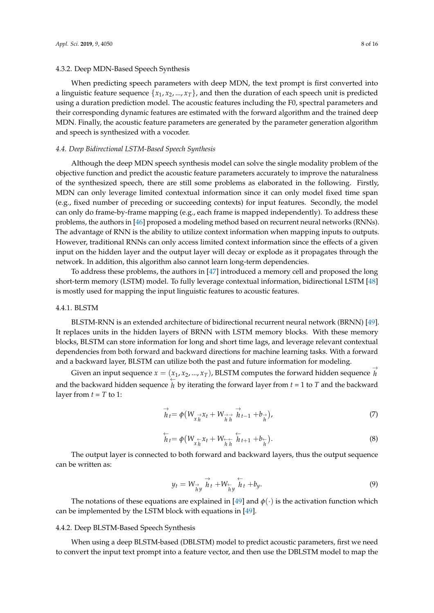## 4.3.2. Deep MDN-Based Speech Synthesis

When predicting speech parameters with deep MDN, the text prompt is first converted into a linguistic feature sequence  $\{x_1, x_2, ..., x_T\}$ , and then the duration of each speech unit is predicted using a duration prediction model. The acoustic features including the F0, spectral parameters and their corresponding dynamic features are estimated with the forward algorithm and the trained deep MDN. Finally, the acoustic feature parameters are generated by the parameter generation algorithm and speech is synthesized with a vocoder.

## *4.4. Deep Bidirectional LSTM-Based Speech Synthesis*

Although the deep MDN speech synthesis model can solve the single modality problem of the objective function and predict the acoustic feature parameters accurately to improve the naturalness of the synthesized speech, there are still some problems as elaborated in the following. Firstly, MDN can only leverage limited contextual information since it can only model fixed time span (e.g., fixed number of preceding or succeeding contexts) for input features. Secondly, the model can only do frame-by-frame mapping (e.g., each frame is mapped independently). To address these problems, the authors in [\[46\]](#page-13-14) proposed a modeling method based on recurrent neural networks (RNNs). The advantage of RNN is the ability to utilize context information when mapping inputs to outputs. However, traditional RNNs can only access limited context information since the effects of a given input on the hidden layer and the output layer will decay or explode as it propagates through the network. In addition, this algorithm also cannot learn long-term dependencies.

To address these problems, the authors in [\[47\]](#page-13-15) introduced a memory cell and proposed the long short-term memory (LSTM) model. To fully leverage contextual information, bidirectional LSTM [\[48\]](#page-13-16) is mostly used for mapping the input linguistic features to acoustic features.

# 4.4.1. BLSTM

BLSTM-RNN is an extended architecture of bidirectional recurrent neural network (BRNN) [\[49\]](#page-13-17). It replaces units in the hidden layers of BRNN with LSTM memory blocks. With these memory blocks, BLSTM can store information for long and short time lags, and leverage relevant contextual dependencies from both forward and backward directions for machine learning tasks. With a forward and a backward layer, BLSTM can utilize both the past and future information for modeling.

Given an input sequence  $x = (x_1, x_2, ..., x_T)$ , BLSTM computes the forward hidden sequence  $\overrightarrow{h}$ *h* and the backward hidden sequence  $\overleftarrow{h}$  by iterating the forward layer from  $t = 1$  to  $T$  and the backward layer from  $t = T$  to 1:

$$
\stackrel{\rightarrow}{h}_t = \phi(W_{\stackrel{\rightarrow}{x}\stackrel{\rightarrow}{h}} \chi_t + W_{\stackrel{\rightarrow}{h}\stackrel{\rightarrow}{h}} \stackrel{\rightarrow}{h}_{t-1} + b_{\stackrel{\rightarrow}{h}}),
$$
\n(7)

$$
\overleftarrow{h}_t = \phi \big( W_{\underset{\lambda}{\leftarrow} \overrightarrow{X}_t} + W_{\underset{\lambda}{\leftarrow} \overleftarrow{h}} \overleftarrow{h}_{t+1} + b_{\underset{\lambda}{\leftarrow}} \big). \tag{8}
$$

The output layer is connected to both forward and backward layers, thus the output sequence can be written as:

$$
y_t = W_{\stackrel{\rightarrow}{h}y} \stackrel{\rightarrow}{h}_t + W_{\stackrel{\leftarrow}{h}y} \stackrel{\leftarrow}{h}_t + b_y. \tag{9}
$$

The notations of these equations are explained in [\[49\]](#page-13-17) and  $\phi(\cdot)$  is the activation function which can be implemented by the LSTM block with equations in [\[49\]](#page-13-17).

## 4.4.2. Deep BLSTM-Based Speech Synthesis

When using a deep BLSTM-based (DBLSTM) model to predict acoustic parameters, first we need to convert the input text prompt into a feature vector, and then use the DBLSTM model to map the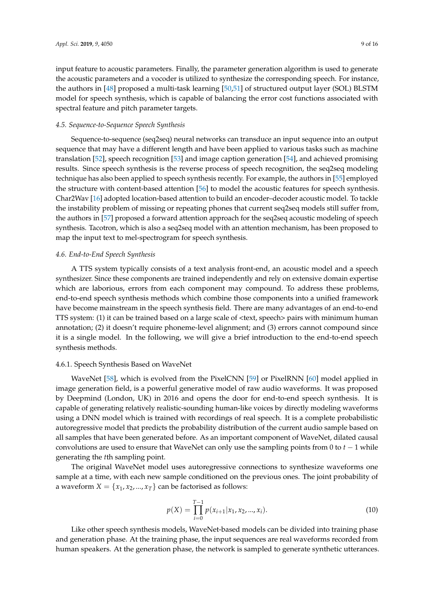input feature to acoustic parameters. Finally, the parameter generation algorithm is used to generate the acoustic parameters and a vocoder is utilized to synthesize the corresponding speech. For instance, the authors in [\[48\]](#page-13-16) proposed a multi-task learning [\[50](#page-13-18)[,51\]](#page-13-19) of structured output layer (SOL) BLSTM model for speech synthesis, which is capable of balancing the error cost functions associated with spectral feature and pitch parameter targets.

## *4.5. Sequence-to-Sequence Speech Synthesis*

Sequence-to-sequence (seq2seq) neural networks can transduce an input sequence into an output sequence that may have a different length and have been applied to various tasks such as machine translation [\[52\]](#page-13-20), speech recognition [\[53\]](#page-13-21) and image caption generation [\[54\]](#page-14-0), and achieved promising results. Since speech synthesis is the reverse process of speech recognition, the seq2seq modeling technique has also been applied to speech synthesis recently. For example, the authors in [\[55\]](#page-14-1) employed the structure with content-based attention [\[56\]](#page-14-2) to model the acoustic features for speech synthesis. Char2Wav [\[16\]](#page-12-7) adopted location-based attention to build an encoder–decoder acoustic model. To tackle the instability problem of missing or repeating phones that current seq2seq models still suffer from, the authors in [\[57\]](#page-14-3) proposed a forward attention approach for the seq2seq acoustic modeling of speech synthesis. Tacotron, which is also a seq2seq model with an attention mechanism, has been proposed to map the input text to mel-spectrogram for speech synthesis.

# *4.6. End-to-End Speech Synthesis*

A TTS system typically consists of a text analysis front-end, an acoustic model and a speech synthesizer. Since these components are trained independently and rely on extensive domain expertise which are laborious, errors from each component may compound. To address these problems, end-to-end speech synthesis methods which combine those components into a unified framework have become mainstream in the speech synthesis field. There are many advantages of an end-to-end TTS system: (1) it can be trained based on a large scale of <text, speech> pairs with minimum human annotation; (2) it doesn't require phoneme-level alignment; and (3) errors cannot compound since it is a single model. In the following, we will give a brief introduction to the end-to-end speech synthesis methods.

## 4.6.1. Speech Synthesis Based on WaveNet

WaveNet [\[58\]](#page-14-4), which is evolved from the PixelCNN [\[59\]](#page-14-5) or PixelRNN [\[60\]](#page-14-6) model applied in image generation field, is a powerful generative model of raw audio waveforms. It was proposed by Deepmind (London, UK) in 2016 and opens the door for end-to-end speech synthesis. It is capable of generating relatively realistic-sounding human-like voices by directly modeling waveforms using a DNN model which is trained with recordings of real speech. It is a complete probabilistic autoregressive model that predicts the probability distribution of the current audio sample based on all samples that have been generated before. As an important component of WaveNet, dilated causal convolutions are used to ensure that WaveNet can only use the sampling points from 0 to *t* − 1 while generating the *t*th sampling point.

The original WaveNet model uses autoregressive connections to synthesize waveforms one sample at a time, with each new sample conditioned on the previous ones. The joint probability of a waveform  $X = \{x_1, x_2, ..., x_T\}$  can be factorised as follows:

$$
p(X) = \prod_{i=0}^{T-1} p(x_{i+1}|x_1, x_2, ..., x_i).
$$
 (10)

Like other speech synthesis models, WaveNet-based models can be divided into training phase and generation phase. At the training phase, the input sequences are real waveforms recorded from human speakers. At the generation phase, the network is sampled to generate synthetic utterances.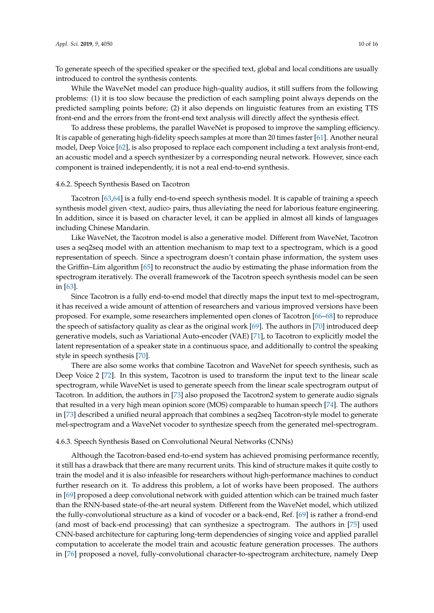To generate speech of the specified speaker or the specified text, global and local conditions are usually introduced to control the synthesis contents.

While the WaveNet model can produce high-quality audios, it still suffers from the following problems: (1) it is too slow because the prediction of each sampling point always depends on the predicted sampling points before; (2) it also depends on linguistic features from an existing TTS front-end and the errors from the front-end text analysis will directly affect the synthesis effect.

To address these problems, the parallel WaveNet is proposed to improve the sampling efficiency. It is capable of generating high-fidelity speech samples at more than 20 times faster [\[61\]](#page-14-7). Another neural model, Deep Voice [\[62\]](#page-14-8), is also proposed to replace each component including a text analysis front-end, an acoustic model and a speech synthesizer by a corresponding neural network. However, since each component is trained independently, it is not a real end-to-end synthesis.

#### 4.6.2. Speech Synthesis Based on Tacotron

Tacotron [\[63,](#page-14-9)[64\]](#page-14-10) is a fully end-to-end speech synthesis model. It is capable of training a speech synthesis model given <text, audio> pairs, thus alleviating the need for laborious feature engineering. In addition, since it is based on character level, it can be applied in almost all kinds of languages including Chinese Mandarin.

Like WaveNet, the Tacotron model is also a generative model. Different from WaveNet, Tacotron uses a seq2seq model with an attention mechanism to map text to a spectrogram, which is a good representation of speech. Since a spectrogram doesn't contain phase information, the system uses the Griffin–Lim algorithm [\[65\]](#page-14-11) to reconstruct the audio by estimating the phase information from the spectrogram iteratively. The overall framework of the Tacotron speech synthesis model can be seen in [\[63\]](#page-14-9).

Since Tacotron is a fully end-to-end model that directly maps the input text to mel-spectrogram, it has received a wide amount of attention of researchers and various improved versions have been proposed. For example, some researchers implemented open clones of Tacotron [\[66–](#page-14-12)[68\]](#page-14-13) to reproduce the speech of satisfactory quality as clear as the original work [\[69\]](#page-14-14). The authors in [\[70\]](#page-14-15) introduced deep generative models, such as Variational Auto-encoder (VAE) [\[71\]](#page-14-16), to Tacotron to explicitly model the latent representation of a speaker state in a continuous space, and additionally to control the speaking style in speech synthesis [\[70\]](#page-14-15).

There are also some works that combine Tacotron and WaveNet for speech synthesis, such as Deep Voice 2 [\[72\]](#page-14-17). In this system, Tacotron is used to transform the input text to the linear scale spectrogram, while WaveNet is used to generate speech from the linear scale spectrogram output of Tacotron. In addition, the authors in [\[73\]](#page-14-18) also proposed the Tacotron2 system to generate audio signals that resulted in a very high mean opinion score (MOS) comparable to human speech [\[74\]](#page-14-19). The authors in [\[73\]](#page-14-18) described a unified neural approach that combines a seq2seq Tacotron-style model to generate mel-spectrogram and a WaveNet vocoder to synthesize speech from the generated mel-spectrogram.

# 4.6.3. Speech Synthesis Based on Convolutional Neural Networks (CNNs)

Although the Tacotron-based end-to-end system has achieved promising performance recently, it still has a drawback that there are many recurrent units. This kind of structure makes it quite costly to train the model and it is also infeasible for researchers without high-performance machines to conduct further research on it. To address this problem, a lot of works have been proposed. The authors in [\[69\]](#page-14-14) proposed a deep convolutional network with guided attention which can be trained much faster than the RNN-based state-of-the-art neural system. Different from the WaveNet model, which utilized the fully-convolutional structure as a kind of vocoder or a back-end, Ref. [\[69\]](#page-14-14) is rather a frond-end (and most of back-end processing) that can synthesize a spectrogram. The authors in [\[75\]](#page-15-0) used CNN-based architecture for capturing long-term dependencies of singing voice and applied parallel computation to accelerate the model train and acoustic feature generation processes. The authors in [\[76\]](#page-15-1) proposed a novel, fully-convolutional character-to-spectrogram architecture, namely Deep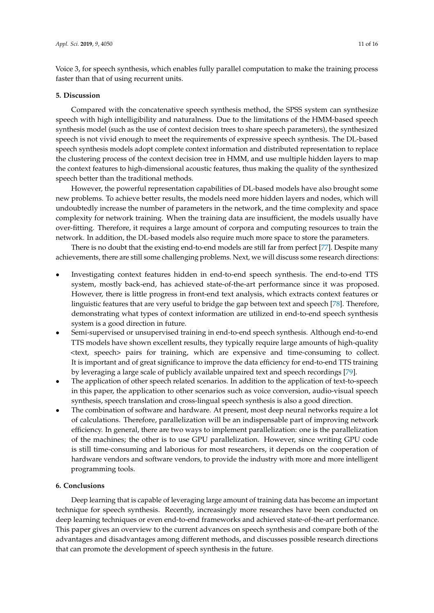Voice 3, for speech synthesis, which enables fully parallel computation to make the training process faster than that of using recurrent units.

# <span id="page-10-0"></span>**5. Discussion**

Compared with the concatenative speech synthesis method, the SPSS system can synthesize speech with high intelligibility and naturalness. Due to the limitations of the HMM-based speech synthesis model (such as the use of context decision trees to share speech parameters), the synthesized speech is not vivid enough to meet the requirements of expressive speech synthesis. The DL-based speech synthesis models adopt complete context information and distributed representation to replace the clustering process of the context decision tree in HMM, and use multiple hidden layers to map the context features to high-dimensional acoustic features, thus making the quality of the synthesized speech better than the traditional methods.

However, the powerful representation capabilities of DL-based models have also brought some new problems. To achieve better results, the models need more hidden layers and nodes, which will undoubtedly increase the number of parameters in the network, and the time complexity and space complexity for network training. When the training data are insufficient, the models usually have over-fitting. Therefore, it requires a large amount of corpora and computing resources to train the network. In addition, the DL-based models also require much more space to store the parameters.

There is no doubt that the existing end-to-end models are still far from perfect [\[77\]](#page-15-2). Despite many achievements, there are still some challenging problems. Next, we will discuss some research directions:

- Investigating context features hidden in end-to-end speech synthesis. The end-to-end TTS system, mostly back-end, has achieved state-of-the-art performance since it was proposed. However, there is little progress in front-end text analysis, which extracts context features or linguistic features that are very useful to bridge the gap between text and speech [\[78\]](#page-15-3). Therefore, demonstrating what types of context information are utilized in end-to-end speech synthesis system is a good direction in future.
- Semi-supervised or unsupervised training in end-to-end speech synthesis. Although end-to-end TTS models have shown excellent results, they typically require large amounts of high-quality <text, speech> pairs for training, which are expensive and time-consuming to collect. It is important and of great significance to improve the data efficiency for end-to-end TTS training by leveraging a large scale of publicly available unpaired text and speech recordings [\[79\]](#page-15-4).
- The application of other speech related scenarios. In addition to the application of text-to-speech in this paper, the application to other scenarios such as voice conversion, audio-visual speech synthesis, speech translation and cross-lingual speech synthesis is also a good direction.
- The combination of software and hardware. At present, most deep neural networks require a lot of calculations. Therefore, parallelization will be an indispensable part of improving network efficiency. In general, there are two ways to implement parallelization: one is the parallelization of the machines; the other is to use GPU parallelization. However, since writing GPU code is still time-consuming and laborious for most researchers, it depends on the cooperation of hardware vendors and software vendors, to provide the industry with more and more intelligent programming tools.

#### <span id="page-10-1"></span>**6. Conclusions**

Deep learning that is capable of leveraging large amount of training data has become an important technique for speech synthesis. Recently, increasingly more researches have been conducted on deep learning techniques or even end-to-end frameworks and achieved state-of-the-art performance. This paper gives an overview to the current advances on speech synthesis and compare both of the advantages and disadvantages among different methods, and discusses possible research directions that can promote the development of speech synthesis in the future.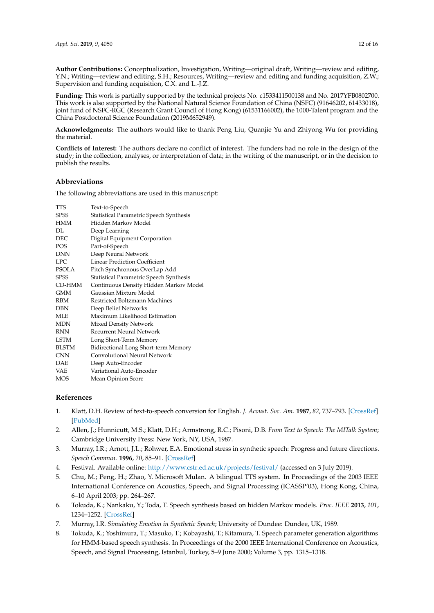**Author Contributions:** Conceptualization, Investigation, Writing—original draft, Writing—review and editing, Y.N.; Writing—review and editing, S.H.; Resources, Writing—review and editing and funding acquisition, Z.W.; Supervision and funding acquisition, C.X. and L.-J.Z.

**Funding:** This work is partially supported by the technical projects No. c1533411500138 and No. 2017YFB0802700. This work is also supported by the National Natural Science Foundation of China (NSFC) (91646202, 61433018), joint fund of NSFC-RGC (Research Grant Council of Hong Kong) (61531166002), the 1000-Talent program and the China Postdoctoral Science Foundation (2019M652949).

**Acknowledgments:** The authors would like to thank Peng Liu, Quanjie Yu and Zhiyong Wu for providing the material.

**Conflicts of Interest:** The authors declare no conflict of interest. The funders had no role in the design of the study; in the collection, analyses, or interpretation of data; in the writing of the manuscript, or in the decision to publish the results.

# **Abbreviations**

The following abbreviations are used in this manuscript:

| TTS          | Text-to-Speech                          |
|--------------|-----------------------------------------|
| <b>SPSS</b>  | Statistical Parametric Speech Synthesis |
| <b>HMM</b>   | Hidden Markov Model                     |
| DL.          | Deep Learning                           |
| DEC.         | Digital Equipment Corporation           |
| <b>POS</b>   | Part-of-Speech                          |
| <b>DNN</b>   | Deep Neural Network                     |
| LPC.         | Linear Prediction Coefficient           |
| <b>PSOLA</b> | Pitch Synchronous OverLap Add           |
| <b>SPSS</b>  | Statistical Parametric Speech Synthesis |
| CD-HMM       | Continuous Density Hidden Markov Model  |
| <b>GMM</b>   | Gaussian Mixture Model                  |
| <b>RBM</b>   | Restricted Boltzmann Machines           |
| <b>DBN</b>   | Deep Belief Networks                    |
| MLE          | Maximum Likelihood Estimation           |
| <b>MDN</b>   | <b>Mixed Density Network</b>            |
| <b>RNN</b>   | Recurrent Neural Network                |
| <b>LSTM</b>  | Long Short-Term Memory                  |
| <b>BLSTM</b> | Bidirectional Long Short-term Memory    |
| <b>CNN</b>   | Convolutional Neural Network            |
| <b>DAE</b>   | Deep Auto-Encoder                       |
| <b>VAE</b>   | Variational Auto-Encoder                |
| MOS          | Mean Opinion Score                      |
|              |                                         |

# **References**

- <span id="page-11-0"></span>1. Klatt, D.H. Review of text-to-speech conversion for English. *J. Acoust. Soc. Am.* **1987**, *82*, 737–793. [\[CrossRef\]](http://dx.doi.org/10.1121/1.395275) [\[PubMed\]](http://www.ncbi.nlm.nih.gov/pubmed/2958525)
- <span id="page-11-1"></span>2. Allen, J.; Hunnicutt, M.S.; Klatt, D.H.; Armstrong, R.C.; Pisoni, D.B. *From Text to Speech: The MITalk System*; Cambridge University Press: New York, NY, USA, 1987.
- <span id="page-11-2"></span>3. Murray, I.R.; Arnott, J.L.; Rohwer, E.A. Emotional stress in synthetic speech: Progress and future directions. *Speech Commun.* **1996**, *20*, 85–91. [\[CrossRef\]](http://dx.doi.org/10.1016/S0167-6393(96)00046-5)
- <span id="page-11-7"></span>4. Festival. Available online: <http://www.cstr.ed.ac.uk/projects/festival/> (accessed on 3 July 2019).
- <span id="page-11-3"></span>5. Chu, M.; Peng, H.; Zhao, Y. Microsoft Mulan. A bilingual TTS system. In Proceedings of the 2003 IEEE International Conference on Acoustics, Speech, and Signal Processing (ICASSP'03), Hong Kong, China, 6–10 April 2003; pp. 264–267.
- <span id="page-11-4"></span>6. Tokuda, K.; Nankaku, Y.; Toda, T. Speech synthesis based on hidden Markov models. *Proc. IEEE* **2013**, *101*, 1234–1252. [\[CrossRef\]](http://dx.doi.org/10.1109/JPROC.2013.2251852)
- <span id="page-11-5"></span>7. Murray, I.R. *Simulating Emotion in Synthetic Speech*; University of Dundee: Dundee, UK, 1989.
- <span id="page-11-6"></span>8. Tokuda, K.; Yoshimura, T.; Masuko, T.; Kobayashi, T.; Kitamura, T. Speech parameter generation algorithms for HMM-based speech synthesis. In Proceedings of the 2000 IEEE International Conference on Acoustics, Speech, and Signal Processing, Istanbul, Turkey, 5–9 June 2000; Volume 3, pp. 1315–1318.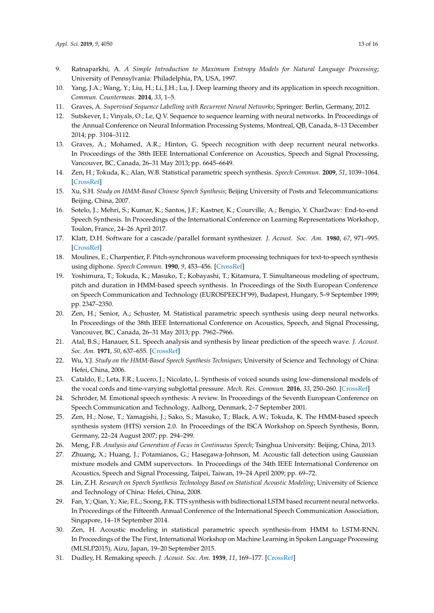- <span id="page-12-0"></span>9. Ratnaparkhi, A. *A Simple Introduction to Maximum Entropy Models for Natural Language Processing*; University of Pennsylvania: Philadelphia, PA, USA, 1997.
- <span id="page-12-1"></span>10. Yang, J.A.; Wang, Y.; Liu, H.; Li, J.H.; Lu, J. Deep learning theory and its application in speech recognition. *Commun. Countermeas.* **2014**, *33*, 1–5.
- <span id="page-12-2"></span>11. Graves, A. *Supervised Sequence Labelling with Recurrent Neural Networks*; Springer: Berlin, Germany, 2012.
- <span id="page-12-3"></span>12. Sutskever, I.; Vinyals, O.; Le, Q.V. Sequence to sequence learning with neural networks. In Proceedings of the Annual Conference on Neural Information Processing Systems, Montreal, QB, Canada, 8–13 December 2014; pp. 3104–3112.
- <span id="page-12-4"></span>13. Graves, A.; Mohamed, A.R.; Hinton, G. Speech recognition with deep recurrent neural networks. In Proceedings of the 38th IEEE International Conference on Acoustics, Speech and Signal Processing, Vancouver, BC, Canada, 26–31 May 2013; pp. 6645–6649.
- <span id="page-12-5"></span>14. Zen, H.; Tokuda, K.; Alan, W.B. Statistical parametric speech synthesis. *Speech Commun.* **2009**, *51*, 1039–1064. [\[CrossRef\]](http://dx.doi.org/10.1016/j.specom.2009.04.004)
- <span id="page-12-6"></span>15. Xu, S.H. *Study on HMM-Based Chinese Speech Synthesis*; Beijing University of Posts and Telecommunications: Beijing, China, 2007.
- <span id="page-12-7"></span>16. Sotelo, J.; Mehri, S.; Kumar, K.; Santos, J.F.; Kastner, K.; Courville, A.; Bengio, Y. Char2wav: End-to-end Speech Synthesis. In Proceedings of the International Conference on Learning Representations Workshop, Toulon, France, 24–26 April 2017.
- <span id="page-12-8"></span>17. Klatt, D.H. Software for a cascade/parallel formant synthesizer. *J. Acoust. Soc. Am.* **1980**, *67*, 971–995. [\[CrossRef\]](http://dx.doi.org/10.1121/1.383940)
- <span id="page-12-9"></span>18. Moulines, E.; Charpentier, F. Pitch-synchronous waveform processing techniques for text-to-speech synthesis using diphone. *Speech Commun.* **1990**, *9*, 453–456. [\[CrossRef\]](http://dx.doi.org/10.1016/0167-6393(90)90021-Z)
- <span id="page-12-10"></span>19. Yoshimura, T.; Tokuda, K.; Masuko, T.; Kobayashi, T.; Kitamura, T. Simultaneous modeling of spectrum, pitch and duration in HMM-based speech synthesis. In Proceedings of the Sixth European Conference on Speech Communication and Technology (EUROSPEECH'99), Budapest, Hungary, 5–9 September 1999; pp. 2347–2350.
- <span id="page-12-11"></span>20. Zen, H.; Senior, A.; Schuster, M. Statistical parametric speech synthesis using deep neural networks. In Proceedings of the 38th IEEE International Conference on Acoustics, Speech, and Signal Processing, Vancouver, BC, Canada, 26–31 May 2013; pp. 7962–7966.
- <span id="page-12-12"></span>21. Atal, B.S.; Hanauer, S.L. Speech analysis and synthesis by linear prediction of the speech wave. *J. Acoust. Soc. Am.* **1971**, *50*, 637–655. [\[CrossRef\]](http://dx.doi.org/10.1121/1.1912679)
- <span id="page-12-13"></span>22. Wu, Y.J. *Study on the HMM-Based Speech Synthesis Techniques*; University of Science and Technology of China: Hefei, China, 2006.
- <span id="page-12-14"></span>23. Cataldo, E.; Leta, F.R.; Lucero, J.; Nicolato, L. Synthesis of voiced sounds using low-dimensional models of the vocal cords and time-varying subglottal pressure. *Mech. Res. Commun.* **2016**, *33*, 250–260. [\[CrossRef\]](http://dx.doi.org/10.1016/j.mechrescom.2005.05.007)
- <span id="page-12-15"></span>24. Schröder, M. Emotional speech synthesis: A review. In Proceedings of the Seventh European Conference on Speech Communication and Technology, Aalborg, Denmark, 2–7 September 2001.
- <span id="page-12-16"></span>25. Zen, H.; Nose, T.; Yamagishi, J.; Sako, S.; Masuko, T.; Black, A.W.; Tokuda, K. The HMM-based speech synthesis system (HTS) version 2.0. In Proceedings of the ISCA Workshop on Speech Synthesis, Bonn, Germany, 22–24 August 2007; pp. 294–299.
- <span id="page-12-17"></span>26. Meng, F.B. *Analysis and Generation of Focus in Continuous Speech*; Tsinghua University: Beijing, China, 2013.
- <span id="page-12-18"></span>27. Zhuang, X.; Huang, J.; Potamianos, G.; Hasegawa-Johnson, M. Acoustic fall detection using Gaussian mixture models and GMM supervectors. In Proceedings of the 34th IEEE International Conference on Acoustics, Speech and Signal Processing, Taipei, Taiwan, 19–24 April 2009; pp. 69–72.
- <span id="page-12-19"></span>28. Lin, Z.H. *Research on Speech Synthesis Technology Based on Statistical Acoustic Modeling*; University of Science and Technology of China: Hefei, China, 2008.
- <span id="page-12-20"></span>29. Fan, Y.; Qian, Y.; Xie, F.L.; Soong, F.K. TTS synthesis with bidirectional LSTM based recurrent neural networks. In Proceedings of the Fifteenth Annual Conference of the International Speech Communication Association, Singapore, 14–18 September 2014.
- <span id="page-12-21"></span>30. Zen, H. Acoustic modeling in statistical parametric speech synthesis-from HMM to LSTM-RNN. In Proceedings of the The First, International Workshop on Machine Learning in Spoken Language Processing (MLSLP2015), Aizu, Japan, 19–20 September 2015.
- <span id="page-12-22"></span>31. Dudley, H. Remaking speech. *J. Acoust. Soc. Am.* **1939**, *11*, 169–177. [\[CrossRef\]](http://dx.doi.org/10.1121/1.1916020)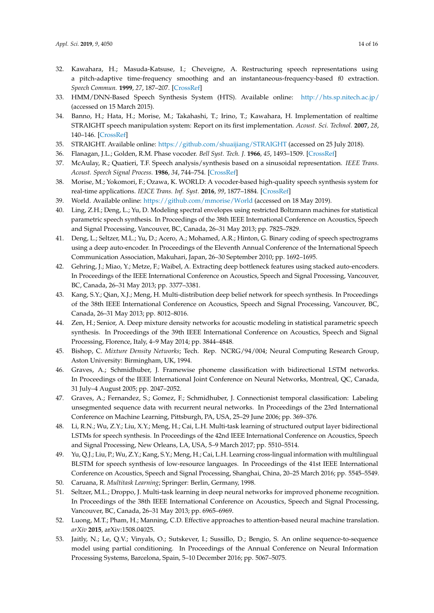- <span id="page-13-0"></span>32. Kawahara, H.; Masuda-Katsuse, I.; Cheveigne, A. Restructuring speech representations using a pitch-adaptive time-frequency smoothing and an instantaneous-frequency-based f0 extraction. *Speech Commun.* **1999**, *27*, 187–207. [\[CrossRef\]](http://dx.doi.org/10.1016/S0167-6393(98)00085-5)
- <span id="page-13-1"></span>33. HMM/DNN-Based Speech Synthesis System (HTS). Available online: <http://hts.sp.nitech.ac.jp/> (accessed on 15 March 2015).
- <span id="page-13-2"></span>34. Banno, H.; Hata, H.; Morise, M.; Takahashi, T.; Irino, T.; Kawahara, H. Implementation of realtime STRAIGHT speech manipulation system: Report on its first implementation. *Acoust. Sci. Technol.* **2007**, *28*, 140–146. [\[CrossRef\]](http://dx.doi.org/10.1250/ast.28.140)
- <span id="page-13-3"></span>35. STRAIGHT. Available online: <https://github.com/shuaijiang/STRAIGHT> (accessed on 25 July 2018).
- <span id="page-13-4"></span>36. Flanagan, J.L.; Golden, R.M. Phase vocoder. *Bell Syst. Tech. J.* **1966**, *45*, 1493–1509. [\[CrossRef\]](http://dx.doi.org/10.1002/j.1538-7305.1966.tb01706.x)
- <span id="page-13-5"></span>37. McAulay, R.; Quatieri, T.F. Speech analysis/synthesis based on a sinusoidal representation. *IEEE Trans. Acoust. Speech Signal Process.* **1986**, *34*, 744–754. [\[CrossRef\]](http://dx.doi.org/10.1109/TASSP.1986.1164910)
- <span id="page-13-6"></span>38. Morise, M.; Yokomori, F.; Ozawa, K. WORLD: A vocoder-based high-quality speech synthesis system for real-time applications. *IEICE Trans. Inf. Syst.* **2016**, *99*, 1877–1884. [\[CrossRef\]](http://dx.doi.org/10.1587/transinf.2015EDP7457)
- <span id="page-13-7"></span>39. World. Available online: <https://github.com/mmorise/World> (accessed on 18 May 2019).
- <span id="page-13-8"></span>40. Ling, Z.H.; Deng, L.; Yu, D. Modeling spectral envelopes using restricted Boltzmann machines for statistical parametric speech synthesis. In Proceedings of the 38th IEEE International Conference on Acoustics, Speech and Signal Processing, Vancouver, BC, Canada, 26–31 May 2013; pp. 7825–7829.
- <span id="page-13-9"></span>41. Deng, L.; Seltzer, M.L.; Yu, D.; Acero, A.; Mohamed, A.R.; Hinton, G. Binary coding of speech spectrograms using a deep auto-encoder. In Proceedings of the Eleventh Annual Conference of the International Speech Communication Association, Makuhari, Japan, 26–30 September 2010; pp. 1692–1695.
- <span id="page-13-10"></span>42. Gehring, J.; Miao, Y.; Metze, F.; Waibel, A. Extracting deep bottleneck features using stacked auto-encoders. In Proceedings of the IEEE International Conference on Acoustics, Speech and Signal Processing, Vancouver, BC, Canada, 26–31 May 2013; pp. 3377–3381.
- <span id="page-13-11"></span>43. Kang, S.Y.; Qian, X.J.; Meng, H. Multi-distribution deep belief network for speech synthesis. In Proceedings of the 38th IEEE International Conference on Acoustics, Speech and Signal Processing, Vancouver, BC, Canada, 26–31 May 2013; pp. 8012–8016.
- <span id="page-13-12"></span>44. Zen, H.; Senior, A. Deep mixture density networks for acoustic modeling in statistical parametric speech synthesis. In Proceedings of the 39th IEEE International Conference on Acoustics, Speech and Signal Processing, Florence, Italy, 4–9 May 2014; pp. 3844–4848.
- <span id="page-13-13"></span>45. Bishop, C. *Mixture Density Networks*; Tech. Rep. NCRG/94/004; Neural Computing Research Group, Aston University: Birmingham, UK, 1994.
- <span id="page-13-14"></span>46. Graves, A.; Schmidhuber, J. Framewise phoneme classification with bidirectional LSTM networks. In Proceedings of the IEEE International Joint Conference on Neural Networks, Montreal, QC, Canada, 31 July–4 August 2005; pp. 2047–2052.
- <span id="page-13-15"></span>47. Graves, A.; Fernandez, S.; Gomez, F.; Schmidhuber, J. Connectionist temporal classification: Labeling unsegmented sequence data with recurrent neural networks. In Proceedings of the 23rd International Conference on Machine Learning, Pittsburgh, PA, USA, 25–29 June 2006; pp. 369–376.
- <span id="page-13-16"></span>48. Li, R.N.; Wu, Z.Y.; Liu, X.Y.; Meng, H.; Cai, L.H. Multi-task learning of structured output layer bidirectional LSTMs for speech synthesis. In Proceedings of the 42nd IEEE International Conference on Acoustics, Speech and Signal Processing, New Orleans, LA, USA, 5–9 March 2017; pp. 5510–5514.
- <span id="page-13-17"></span>49. Yu, Q.J.; Liu, P.; Wu, Z.Y.; Kang, S.Y.; Meng, H.; Cai, L.H. Learning cross-lingual information with multilingual BLSTM for speech synthesis of low-resource languages. In Proceedings of the 41st IEEE International Conference on Acoustics, Speech and Signal Processing, Shanghai, China, 20–25 March 2016; pp. 5545–5549.
- <span id="page-13-18"></span>50. Caruana, R. *Multitask Learning*; Springer: Berlin, Germany, 1998.
- <span id="page-13-19"></span>51. Seltzer, M.L.; Droppo, J. Multi-task learning in deep neural networks for improved phoneme recognition. In Proceedings of the 38th IEEE International Conference on Acoustics, Speech and Signal Processing, Vancouver, BC, Canada, 26–31 May 2013; pp. 6965–6969.
- <span id="page-13-20"></span>52. Luong, M.T.; Pham, H.; Manning, C.D. Effective approaches to attention-based neural machine translation. *arXiv* **2015**, arXiv:1508.04025.
- <span id="page-13-21"></span>53. Jaitly, N.; Le, Q.V.; Vinyals, O.; Sutskever, I.; Sussillo, D.; Bengio, S. An online sequence-to-sequence model using partial conditioning. In Proceedings of the Annual Conference on Neural Information Processing Systems, Barcelona, Spain, 5–10 December 2016; pp. 5067–5075.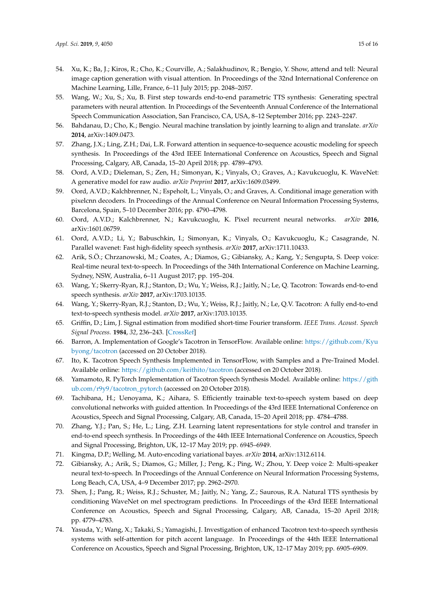- <span id="page-14-0"></span>54. Xu, K.; Ba, J.; Kiros, R.; Cho, K.; Courville, A.; Salakhudinov, R.; Bengio, Y. Show, attend and tell: Neural image caption generation with visual attention. In Proceedings of the 32nd International Conference on Machine Learning, Lille, France, 6–11 July 2015; pp. 2048–2057.
- <span id="page-14-1"></span>55. Wang, W.; Xu, S.; Xu, B. First step towards end-to-end parametric TTS synthesis: Generating spectral parameters with neural attention. In Proceedings of the Seventeenth Annual Conference of the International Speech Communication Association, San Francisco, CA, USA, 8–12 September 2016; pp. 2243–2247.
- <span id="page-14-2"></span>56. Bahdanau, D.; Cho, K.; Bengio. Neural machine translation by jointly learning to align and translate. *arXiv* **2014**, arXiv:1409.0473.
- <span id="page-14-3"></span>57. Zhang, J.X.; Ling, Z.H.; Dai, L.R. Forward attention in sequence-to-sequence acoustic modeling for speech synthesis. In Proceedings of the 43rd IEEE International Conference on Acoustics, Speech and Signal Processing, Calgary, AB, Canada, 15–20 April 2018; pp. 4789–4793.
- <span id="page-14-4"></span>58. Oord, A.V.D.; Dieleman, S.; Zen, H.; Simonyan, K.; Vinyals, O.; Graves, A.; Kavukcuoglu, K. WaveNet: A generative model for raw audio. *arXiv Preprint* **2017**, arXiv:1609.03499.
- <span id="page-14-5"></span>59. Oord, A.V.D.; Kalchbrenner, N.; Espeholt, L.; Vinyals, O.; and Graves, A. Conditional image generation with pixelcnn decoders. In Proceedings of the Annual Conference on Neural Information Processing Systems, Barcelona, Spain, 5–10 December 2016; pp. 4790–4798.
- <span id="page-14-6"></span>60. Oord, A.V.D.; Kalchbrenner, N.; Kavukcuoglu, K. Pixel recurrent neural networks. *arXiv* **2016**, arXiv:1601.06759.
- <span id="page-14-7"></span>61. Oord, A.V.D.; Li, Y.; Babuschkin, I.; Simonyan, K.; Vinyals, O.; Kavukcuoglu, K.; Casagrande, N. Parallel wavenet: Fast high-fidelity speech synthesis. *arXiv* **2017**, arXiv:1711.10433.
- <span id="page-14-8"></span>62. Arik, S.Ö.; Chrzanowski, M.; Coates, A.; Diamos, G.; Gibiansky, A.; Kang, Y.; Sengupta, S. Deep voice: Real-time neural text-to-speech. In Proceedings of the 34th International Conference on Machine Learning, Sydney, NSW, Australia, 6–11 August 2017; pp. 195–204.
- <span id="page-14-9"></span>63. Wang, Y.; Skerry-Ryan, R.J.; Stanton, D.; Wu, Y.; Weiss, R.J.; Jaitly, N.; Le, Q. Tacotron: Towards end-to-end speech synthesis. *arXiv* **2017**, arXiv:1703.10135.
- <span id="page-14-10"></span>64. Wang, Y.; Skerry-Ryan, R.J.; Stanton, D.; Wu, Y.; Weiss, R.J.; Jaitly, N.; Le, Q.V. Tacotron: A fully end-to-end text-to-speech synthesis model. *arXiv* **2017**, arXiv:1703.10135.
- <span id="page-14-11"></span>65. Griffin, D.; Lim, J. Signal estimation from modified short-time Fourier transform. *IEEE Trans. Acoust. Speech Signal Process.* **1984**, *32*, 236–243. [\[CrossRef\]](http://dx.doi.org/10.1109/TASSP.1984.1164317)
- <span id="page-14-12"></span>66. Barron, A. Implementation of Google's Tacotron in TensorFlow. Available online: [https://github.com/Kyu](https://github.com/Kyubyong/tacotron) [byong/tacotron](https://github.com/Kyubyong/tacotron) (accessed on 20 October 2018).
- 67. Ito, K. Tacotron Speech Synthesis Implemented in TensorFlow, with Samples and a Pre-Trained Model. Available online: <https://github.com/keithito/tacotron> (accessed on 20 October 2018).
- <span id="page-14-13"></span>68. Yamamoto, R. PyTorch Implementation of Tacotron Speech Synthesis Model. Available online: [https://gith](https://github.com/r9y9/tacotron_pytorch) [ub.com/r9y9/tacotron\\_pytorch](https://github.com/r9y9/tacotron_pytorch) (accessed on 20 October 2018).
- <span id="page-14-14"></span>69. Tachibana, H.; Uenoyama, K.; Aihara, S. Efficiently trainable text-to-speech system based on deep convolutional networks with guided attention. In Proceedings of the 43rd IEEE International Conference on Acoustics, Speech and Signal Processing, Calgary, AB, Canada, 15–20 April 2018; pp. 4784–4788.
- <span id="page-14-15"></span>70. Zhang, Y.J.; Pan, S.; He, L.; Ling, Z.H. Learning latent representations for style control and transfer in end-to-end speech synthesis. In Proceedings of the 44th IEEE International Conference on Acoustics, Speech and Signal Processing, Brighton, UK, 12–17 May 2019; pp. 6945–6949.
- <span id="page-14-17"></span><span id="page-14-16"></span>71. Kingma, D.P.; Welling, M. Auto-encoding variational bayes. *arXiv* **2014**, arXiv:1312.6114.
- 72. Gibiansky, A.; Arik, S.; Diamos, G.; Miller, J.; Peng, K.; Ping, W.; Zhou, Y. Deep voice 2: Multi-speaker neural text-to-speech. In Proceedings of the Annual Conference on Neural Information Processing Systems, Long Beach, CA, USA, 4–9 December 2017; pp. 2962–2970.
- <span id="page-14-18"></span>73. Shen, J.; Pang, R.; Weiss, R.J.; Schuster, M.; Jaitly, N.; Yang, Z.; Saurous, R.A. Natural TTS synthesis by conditioning WaveNet on mel spectrogram predictions. In Proceedings of the 43rd IEEE International Conference on Acoustics, Speech and Signal Processing, Calgary, AB, Canada, 15–20 April 2018; pp. 4779–4783.
- <span id="page-14-19"></span>74. Yasuda, Y.; Wang, X.; Takaki, S.; Yamagishi, J. Investigation of enhanced Tacotron text-to-speech synthesis systems with self-attention for pitch accent language. In Proceedings of the 44th IEEE International Conference on Acoustics, Speech and Signal Processing, Brighton, UK, 12–17 May 2019; pp. 6905–6909.